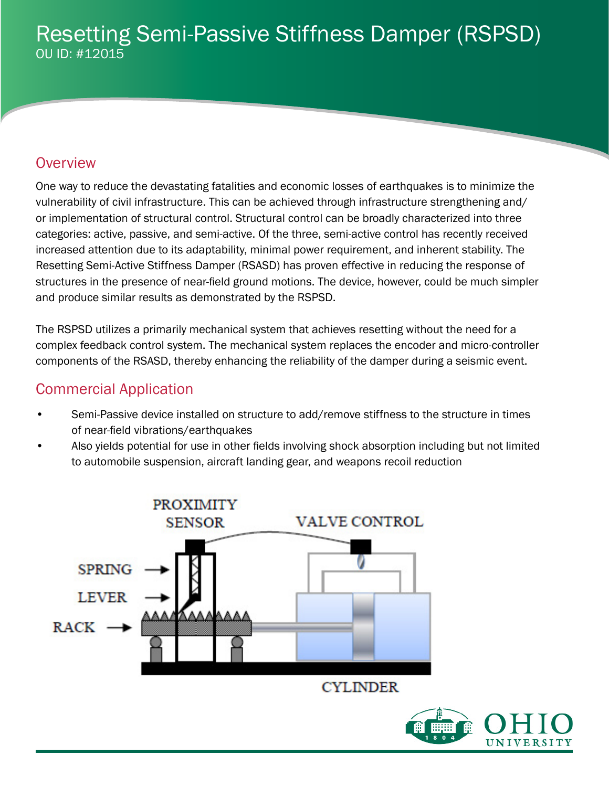# Resetting Semi-Passive Stiffness Damper (RSPSD) OU ID: #12015

## **Overview**

One way to reduce the devastating fatalities and economic losses of earthquakes is to minimize the vulnerability of civil infrastructure. This can be achieved through infrastructure strengthening and/ or implementation of structural control. Structural control can be broadly characterized into three categories: active, passive, and semi-active. Of the three, semi-active control has recently received increased attention due to its adaptability, minimal power requirement, and inherent stability. The Resetting Semi-Active Stiffness Damper (RSASD) has proven effective in reducing the response of structures in the presence of near-field ground motions. The device, however, could be much simpler and produce similar results as demonstrated by the RSPSD.

The RSPSD utilizes a primarily mechanical system that achieves resetting without the need for a complex feedback control system. The mechanical system replaces the encoder and micro-controller components of the RSASD, thereby enhancing the reliability of the damper during a seismic event.

## Commercial Application

- Semi-Passive device installed on structure to add/remove stiffness to the structure in times of near-field vibrations/earthquakes
- Also yields potential for use in other fields involving shock absorption including but not limited to automobile suspension, aircraft landing gear, and weapons recoil reduction